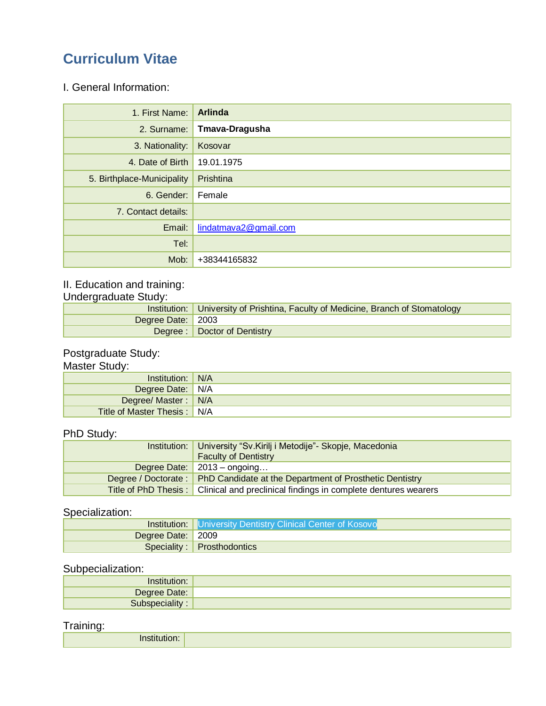# **Curriculum Vitae**

#### I. General Information:

| 1. First Name:             | <b>Arlinda</b>        |
|----------------------------|-----------------------|
| 2. Surname:                | Tmava-Dragusha        |
| 3. Nationality:            | Kosovar               |
| 4. Date of Birth           | 19.01.1975            |
| 5. Birthplace-Municipality | Prishtina             |
| 6. Gender:                 | Female                |
| 7. Contact details:        |                       |
| Email:                     | lindatmava2@gmail.com |
| Tel:                       |                       |
| Mob:                       | +38344165832          |

## II. Education and training:

Undergraduate Study:

|                     | Institution:   University of Prishtina, Faculty of Medicine, Branch of Stomatology |
|---------------------|------------------------------------------------------------------------------------|
| Degree Date:   2003 |                                                                                    |
|                     | Degree:   Doctor of Dentistry                                                      |

#### Postgraduate Study:

#### Master Study:

| Institution:   N/A                 |  |
|------------------------------------|--|
| Degree Date: N/A                   |  |
| Degree/ Master: N/A                |  |
| <b>Title of Master Thesis:</b> N/A |  |

#### PhD Study:

| Institution: | University "Sv. Kirilj i Metodije" - Skopje, Macedonia<br><b>Faculty of Dentistry</b> |
|--------------|---------------------------------------------------------------------------------------|
|              | Degree Date: $2013 -$ ongoing                                                         |
|              | Degree / Doctorate: PhD Candidate at the Department of Prosthetic Dentistry           |
|              | Title of PhD Thesis: Clinical and preclinical findings in complete dentures wearers   |

#### Specialization:

|                     | <b>Institution:</b> University Dentistry Clinical Center of Kosovo |
|---------------------|--------------------------------------------------------------------|
| Degree Date:   2009 |                                                                    |
|                     | Speciality: Prosthodontics                                         |

#### Subpecialization:

| Institution:                 |  |
|------------------------------|--|
| Degree Date:                 |  |
| Subspe<br>ality <sup>-</sup> |  |

#### Training:

| <br>.<br>"Juon. |  |
|-----------------|--|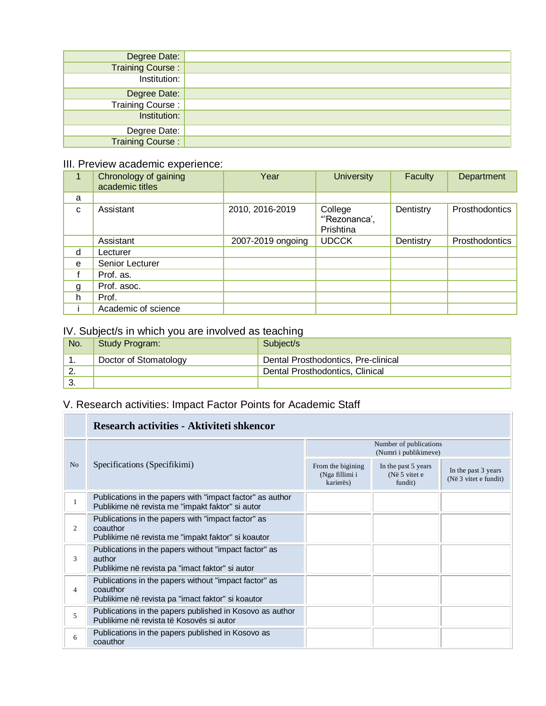| Degree Date:            |  |
|-------------------------|--|
| <b>Training Course:</b> |  |
| Institution:            |  |
| Degree Date:            |  |
| <b>Training Course:</b> |  |
| Institution:            |  |
| Degree Date:            |  |
| Training Course:        |  |

#### III. Preview academic experience:

| 1            | Chronology of gaining<br>academic titles | Year              | <b>University</b>                    | <b>Faculty</b> | Department     |
|--------------|------------------------------------------|-------------------|--------------------------------------|----------------|----------------|
| a            |                                          |                   |                                      |                |                |
| $\mathbf{C}$ | Assistant                                | 2010, 2016-2019   | College<br>"Rezonanca',<br>Prishtina | Dentistry      | Prosthodontics |
|              | Assistant                                | 2007-2019 ongoing | <b>UDCCK</b>                         | Dentistry      | Prosthodontics |
| d            | Lecturer                                 |                   |                                      |                |                |
| e            | Senior Lecturer                          |                   |                                      |                |                |
|              | Prof. as.                                |                   |                                      |                |                |
| g            | Prof. asoc.                              |                   |                                      |                |                |
| h            | Prof.                                    |                   |                                      |                |                |
|              | Academic of science                      |                   |                                      |                |                |

#### IV. Subject/s in which you are involved as teaching

| No.      | Study Program:        | Subject/s                           |
|----------|-----------------------|-------------------------------------|
| . .      | Doctor of Stomatology | Dental Prosthodontics, Pre-clinical |
| <u>.</u> |                       | Dental Prosthodontics, Clinical     |
| J.       |                       |                                     |

## V. Research activities: Impact Factor Points for Academic Staff

|                | Research activities - Aktiviteti shkencor                                                                              |                                                  |                                                 |                                              |  |
|----------------|------------------------------------------------------------------------------------------------------------------------|--------------------------------------------------|-------------------------------------------------|----------------------------------------------|--|
|                | Specifications (Specifikimi)                                                                                           | Number of publications<br>(Numri i publikimeve)  |                                                 |                                              |  |
| N <sub>o</sub> |                                                                                                                        | From the bigining<br>(Nga fillimi i<br>karierës) | In the past 5 years<br>(Në 5 vitet e<br>fundit) | In the past 3 years<br>(Në 3 vitet e fundit) |  |
|                | Publications in the papers with "impact factor" as author<br>Publikime në revista me "impakt faktor" si autor          |                                                  |                                                 |                                              |  |
| $\overline{c}$ | Publications in the papers with "impact factor" as<br>coauthor<br>Publikime në revista me "impakt faktor" si koautor   |                                                  |                                                 |                                              |  |
| 3              | Publications in the papers without "impact factor" as<br>author<br>Publikime në revista pa "imact faktor" si autor     |                                                  |                                                 |                                              |  |
| 4              | Publications in the papers without "impact factor" as<br>coauthor<br>Publikime në revista pa "imact faktor" si koautor |                                                  |                                                 |                                              |  |
| 5              | Publications in the papers published in Kosovo as author<br>Publikime në revista të Kosovës si autor                   |                                                  |                                                 |                                              |  |
| 6              | Publications in the papers published in Kosovo as<br>coauthor                                                          |                                                  |                                                 |                                              |  |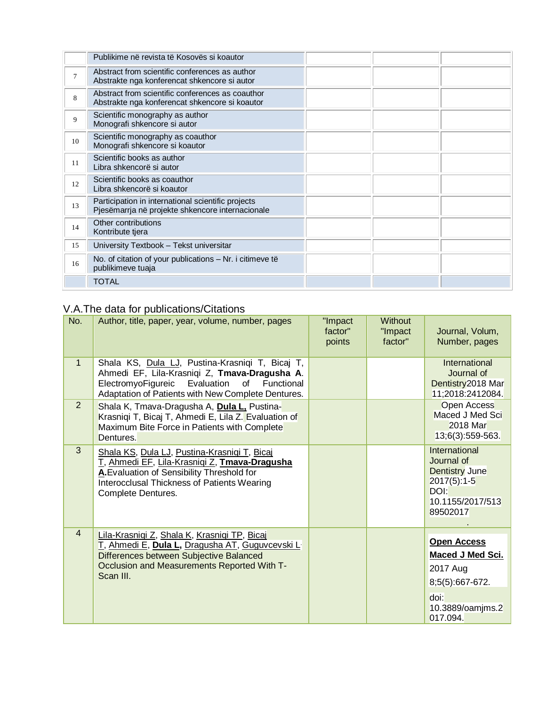|    | Publikime në revista të Kosovës si koautor                                                             |  |  |
|----|--------------------------------------------------------------------------------------------------------|--|--|
| 7  | Abstract from scientific conferences as author<br>Abstrakte nga konferencat shkencore si autor         |  |  |
| 8  | Abstract from scientific conferences as coauthor<br>Abstrakte nga konferencat shkencore si koautor     |  |  |
| 9  | Scientific monography as author<br>Monografi shkencore si autor                                        |  |  |
| 10 | Scientific monography as coauthor<br>Monografi shkencore si koautor                                    |  |  |
| 11 | Scientific books as author<br>Libra shkencorë si autor                                                 |  |  |
| 12 | Scientific books as coauthor<br>Libra shkencorë si koautor                                             |  |  |
| 13 | Participation in international scientific projects<br>Pjesëmarrja në projekte shkencore internacionale |  |  |
| 14 | Other contributions<br>Kontribute tjera                                                                |  |  |
| 15 | University Textbook - Tekst universitar                                                                |  |  |
| 16 | No. of citation of your publications - Nr. i citimeve të<br>publikimeve tuaja                          |  |  |
|    | <b>TOTAL</b>                                                                                           |  |  |

### V.A.The data for publications/Citations

| No.            | Author, title, paper, year, volume, number, pages                                                                                                                                                                | "Impact<br>factor"<br>points | <b>Without</b><br>"Impact<br>factor" | Journal, Volum,<br>Number, pages                                                                                     |
|----------------|------------------------------------------------------------------------------------------------------------------------------------------------------------------------------------------------------------------|------------------------------|--------------------------------------|----------------------------------------------------------------------------------------------------------------------|
| $\mathbf{1}$   | Shala KS, Dula LJ, Pustina-Krasniqi T, Bicaj T,<br>Ahmedi EF, Lila-Krasniqi Z, Tmava-Dragusha A.<br>ElectromyoFigureic Evaluation<br>of<br>Functional<br>Adaptation of Patients with New Complete Dentures.      |                              |                                      | International<br>Journal of<br>Dentistry 2018 Mar<br>11;2018:2412084.                                                |
| 2              | Shala K, Tmava-Dragusha A, Dula L, Pustina-<br>Krasniqi T, Bicaj T, Ahmedi E, Lila Z. Evaluation of<br>Maximum Bite Force in Patients with Complete<br>Dentures.                                                 |                              |                                      | Open Access<br>Maced J Med Sci<br>2018 Mar<br>13;6(3):559-563.                                                       |
| 3              | Shala KS, Dula LJ, Pustina-Krasniqi T, Bicaj<br>T. Ahmedi EF, Lila-Krasniqi Z, Tmava-Dragusha<br>A. Evaluation of Sensibility Threshold for<br>Interocclusal Thickness of Patients Wearing<br>Complete Dentures. |                              |                                      | International<br>Journal of<br><b>Dentistry June</b><br>$2017(5):1-5$<br>DOI:<br>10.1155/2017/513<br>89502017        |
| $\overline{4}$ | Lila-Krasniqi Z, Shala K, Krasniqi TP, Bicaj<br>T, Ahmedi E, Dula L, Dragusha AT, Guguvcevski L<br>Differences between Subjective Balanced<br>Occlusion and Measurements Reported With T-<br>Scan III.           |                              |                                      | <b>Open Access</b><br><b>Maced J Med Sci.</b><br>2017 Aug<br>8;5(5):667-672.<br>doi:<br>10.3889/oamjms.2<br>017.094. |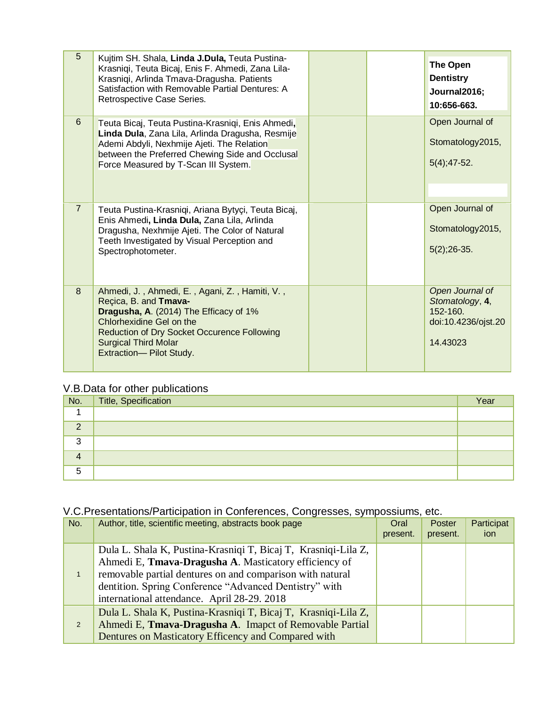| 5              | Kujtim SH. Shala, Linda J.Dula, Teuta Pustina-<br>Krasniqi, Teuta Bicaj, Enis F. Ahmedi, Zana Lila-<br>Krasniqi, Arlinda Tmava-Dragusha. Patients<br>Satisfaction with Removable Partial Dentures: A<br>Retrospective Case Series.                            |  | <b>The Open</b><br><b>Dentistry</b><br>Journal2016;<br>10:656-663.                     |
|----------------|---------------------------------------------------------------------------------------------------------------------------------------------------------------------------------------------------------------------------------------------------------------|--|----------------------------------------------------------------------------------------|
| 6              | Teuta Bicaj, Teuta Pustina-Krasnigi, Enis Ahmedi,<br>Linda Dula, Zana Lila, Arlinda Dragusha, Resmije<br>Ademi Abdyli, Nexhmije Ajeti. The Relation<br>between the Preferred Chewing Side and Occlusal<br>Force Measured by T-Scan III System.                |  | Open Journal of<br>Stomatology2015,<br>$5(4)$ ; 47-52.                                 |
| $\overline{7}$ | Teuta Pustina-Krasniqi, Ariana Bytyçi, Teuta Bicaj,<br>Enis Ahmedi, Linda Dula, Zana Lila, Arlinda<br>Dragusha, Nexhmije Ajeti. The Color of Natural<br>Teeth Investigated by Visual Perception and<br>Spectrophotometer.                                     |  | Open Journal of<br>Stomatology2015,<br>$5(2)$ ; 26-35.                                 |
| 8              | Ahmedi, J., Ahmedi, E., Agani, Z., Hamiti, V.,<br>Recica, B. and Tmava-<br>Dragusha, A. (2014) The Efficacy of 1%<br>Chlorhexidine Gel on the<br><b>Reduction of Dry Socket Occurence Following</b><br><b>Surgical Third Molar</b><br>Extraction-Pilot Study. |  | Open Journal of<br>Stomatology, 4,<br>$152 - 160$ .<br>doi:10.4236/ojst.20<br>14.43023 |

#### V.B.Data for other publications

| No.      | Title, Specification | Year |
|----------|----------------------|------|
|          |                      |      |
| $\Omega$ |                      |      |
| 3        |                      |      |
| 4        |                      |      |
| 5        |                      |      |

## V.C.Presentations/Participation in Conferences, Congresses, sympossiums, etc.

| No. | Author, title, scientific meeting, abstracts book page                                                                                                                                                                                                                                        | Oral<br>present. | Poster<br>present. | Participat<br><i>ion</i> |
|-----|-----------------------------------------------------------------------------------------------------------------------------------------------------------------------------------------------------------------------------------------------------------------------------------------------|------------------|--------------------|--------------------------|
|     | Dula L. Shala K, Pustina-Krasniqi T, Bicaj T, Krasniqi-Lila Z,<br>Ahmedi E, Tmava-Dragusha A. Masticatory efficiency of<br>removable partial dentures on and comparison with natural<br>dentition. Spring Conference "Advanced Dentistry" with<br>international attendance. April 28-29. 2018 |                  |                    |                          |
| 2   | Dula L. Shala K, Pustina-Krasniqi T, Bicaj T, Krasniqi-Lila Z,<br>Ahmedi E, Tmava-Dragusha A. Imapct of Removable Partial<br>Dentures on Masticatory Efficency and Compared with                                                                                                              |                  |                    |                          |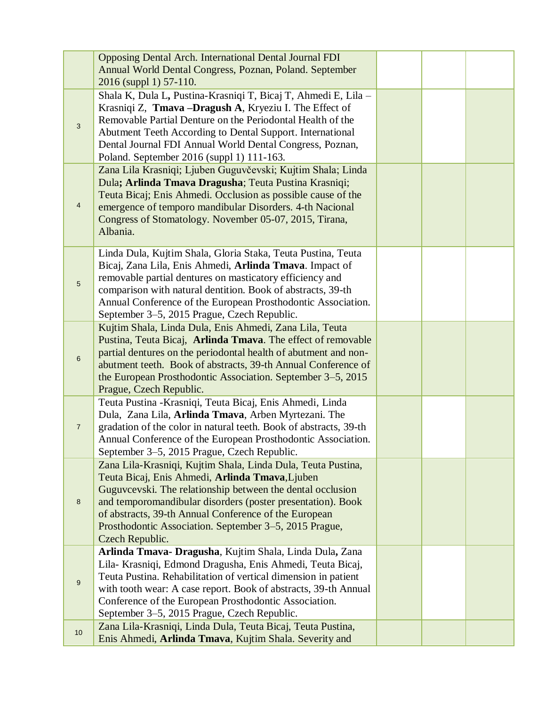|                 | <b>Opposing Dental Arch. International Dental Journal FDI</b>     |  |  |
|-----------------|-------------------------------------------------------------------|--|--|
|                 | Annual World Dental Congress, Poznan, Poland. September           |  |  |
|                 |                                                                   |  |  |
|                 | 2016 (suppl 1) 57-110.                                            |  |  |
|                 | Shala K, Dula L, Pustina-Krasniqi T, Bicaj T, Ahmedi E, Lila -    |  |  |
|                 | Krasniqi Z, Tmava -Dragush A, Kryeziu I. The Effect of            |  |  |
|                 | Removable Partial Denture on the Periodontal Health of the        |  |  |
| 3               | Abutment Teeth According to Dental Support. International         |  |  |
|                 | Dental Journal FDI Annual World Dental Congress, Poznan,          |  |  |
|                 |                                                                   |  |  |
|                 | Poland. September 2016 (suppl 1) 111-163.                         |  |  |
|                 | Zana Lila Krasniqi; Ljuben Guguvčevski; Kujtim Shala; Linda       |  |  |
|                 | Dula; Arlinda Tmava Dragusha; Teuta Pustina Krasniqi;             |  |  |
|                 | Teuta Bicaj; Enis Ahmedi. Occlusion as possible cause of the      |  |  |
| $\overline{4}$  | emergence of temporo mandibular Disorders. 4-th Nacional          |  |  |
|                 | Congress of Stomatology. November 05-07, 2015, Tirana,            |  |  |
|                 | Albania.                                                          |  |  |
|                 |                                                                   |  |  |
|                 | Linda Dula, Kujtim Shala, Gloria Staka, Teuta Pustina, Teuta      |  |  |
|                 | Bicaj, Zana Lila, Enis Ahmedi, Arlinda Tmava. Impact of           |  |  |
|                 |                                                                   |  |  |
| $5\phantom{.0}$ | removable partial dentures on masticatory efficiency and          |  |  |
|                 | comparison with natural dentition. Book of abstracts, 39-th       |  |  |
|                 | Annual Conference of the European Prosthodontic Association.      |  |  |
|                 | September 3-5, 2015 Prague, Czech Republic.                       |  |  |
|                 | Kujtim Shala, Linda Dula, Enis Ahmedi, Zana Lila, Teuta           |  |  |
|                 | Pustina, Teuta Bicaj, Arlinda Tmava. The effect of removable      |  |  |
|                 | partial dentures on the periodontal health of abutment and non-   |  |  |
| 6               | abutment teeth. Book of abstracts, 39-th Annual Conference of     |  |  |
|                 |                                                                   |  |  |
|                 | the European Prosthodontic Association. September 3–5, 2015       |  |  |
|                 | Prague, Czech Republic.                                           |  |  |
|                 | Teuta Pustina - Krasniqi, Teuta Bicaj, Enis Ahmedi, Linda         |  |  |
|                 | Dula, Zana Lila, Arlinda Tmava, Arben Myrtezani. The              |  |  |
| $\overline{7}$  | gradation of the color in natural teeth. Book of abstracts, 39-th |  |  |
|                 | Annual Conference of the European Prosthodontic Association.      |  |  |
|                 | September 3–5, 2015 Prague, Czech Republic.                       |  |  |
|                 | Zana Lila-Krasniqi, Kujtim Shala, Linda Dula, Teuta Pustina,      |  |  |
|                 | Teuta Bicaj, Enis Ahmedi, Arlinda Tmava, Ljuben                   |  |  |
|                 | Guguvcevski. The relationship between the dental occlusion        |  |  |
|                 |                                                                   |  |  |
| 8               | and temporomandibular disorders (poster presentation). Book       |  |  |
|                 | of abstracts, 39-th Annual Conference of the European             |  |  |
|                 | Prosthodontic Association. September 3–5, 2015 Prague,            |  |  |
|                 | Czech Republic.                                                   |  |  |
|                 | Arlinda Tmava- Dragusha, Kujtim Shala, Linda Dula, Zana           |  |  |
|                 | Lila- Krasniqi, Edmond Dragusha, Enis Ahmedi, Teuta Bicaj,        |  |  |
|                 | Teuta Pustina. Rehabilitation of vertical dimension in patient    |  |  |
| 9               | with tooth wear: A case report. Book of abstracts, 39-th Annual   |  |  |
|                 | Conference of the European Prosthodontic Association.             |  |  |
|                 |                                                                   |  |  |
|                 | September 3–5, 2015 Prague, Czech Republic.                       |  |  |
| 10 <sup>1</sup> | Zana Lila-Krasniqi, Linda Dula, Teuta Bicaj, Teuta Pustina,       |  |  |
|                 | Enis Ahmedi, Arlinda Tmava, Kujtim Shala. Severity and            |  |  |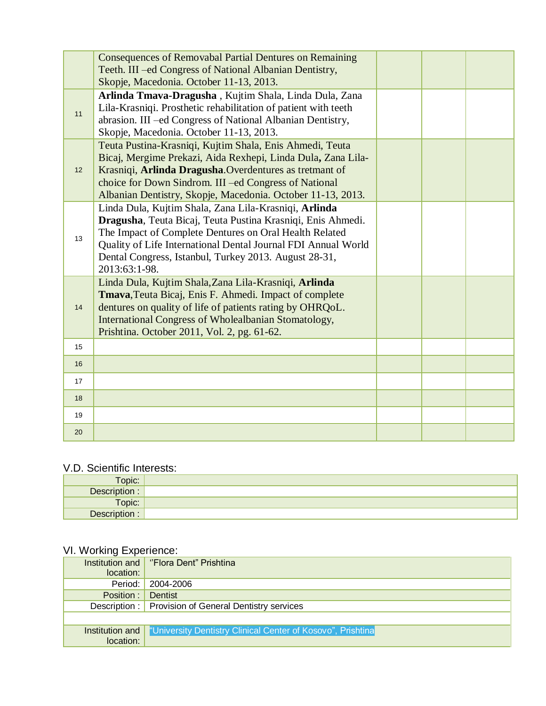|    | <b>Consequences of Removabal Partial Dentures on Remaining</b><br>Teeth. III -ed Congress of National Albanian Dentistry,<br>Skopje, Macedonia. October 11-13, 2013.                                                                                                                                                      |  |  |
|----|---------------------------------------------------------------------------------------------------------------------------------------------------------------------------------------------------------------------------------------------------------------------------------------------------------------------------|--|--|
| 11 | Arlinda Tmava-Dragusha, Kujtim Shala, Linda Dula, Zana<br>Lila-Krasniqi. Prosthetic rehabilitation of patient with teeth<br>abrasion. III -ed Congress of National Albanian Dentistry,<br>Skopje, Macedonia. October 11-13, 2013.                                                                                         |  |  |
| 12 | Teuta Pustina-Krasniqi, Kujtim Shala, Enis Ahmedi, Teuta<br>Bicaj, Mergime Prekazi, Aida Rexhepi, Linda Dula, Zana Lila-<br>Krasniqi, Arlinda Dragusha. Overdentures as tretmant of<br>choice for Down Sindrom. III -ed Congress of National<br>Albanian Dentistry, Skopje, Macedonia. October 11-13, 2013.               |  |  |
| 13 | Linda Dula, Kujtim Shala, Zana Lila-Krasniqi, Arlinda<br>Dragusha, Teuta Bicaj, Teuta Pustina Krasniqi, Enis Ahmedi.<br>The Impact of Complete Dentures on Oral Health Related<br>Quality of Life International Dental Journal FDI Annual World<br>Dental Congress, Istanbul, Turkey 2013. August 28-31,<br>2013:63:1-98. |  |  |
| 14 | Linda Dula, Kujtim Shala, Zana Lila-Krasniqi, Arlinda<br>Tmava, Teuta Bicaj, Enis F. Ahmedi. Impact of complete<br>dentures on quality of life of patients rating by OHRQoL.<br>International Congress of Wholealbanian Stomatology,<br>Prishtina. October 2011, Vol. 2, pg. 61-62.                                       |  |  |
| 15 |                                                                                                                                                                                                                                                                                                                           |  |  |
| 16 |                                                                                                                                                                                                                                                                                                                           |  |  |
| 17 |                                                                                                                                                                                                                                                                                                                           |  |  |
| 18 |                                                                                                                                                                                                                                                                                                                           |  |  |
| 19 |                                                                                                                                                                                                                                                                                                                           |  |  |
| 20 |                                                                                                                                                                                                                                                                                                                           |  |  |

#### V.D. Scientific Interests:

| Topic:        |  |
|---------------|--|
| Description:  |  |
| Topic:        |  |
| Description : |  |

### VI. Working Experience:

|                 | Institution and   "Flora Dent" Prishtina                          |
|-----------------|-------------------------------------------------------------------|
| location:       |                                                                   |
| Period:         | 2004-2006                                                         |
| Position :      | Dentist                                                           |
|                 | Description: Provision of General Dentistry services              |
|                 |                                                                   |
| Institution and | <b>University Dentistry Clinical Center of Kosovo", Prishtina</b> |
| location:       |                                                                   |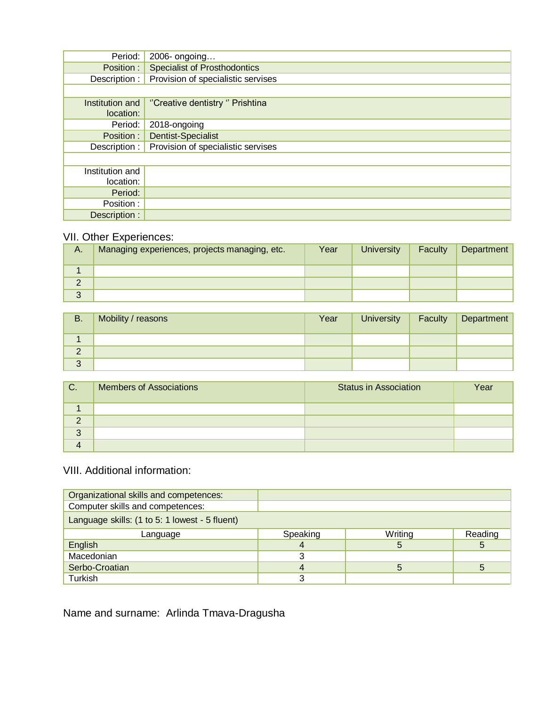| Period:                      | 2006- ongoing                       |
|------------------------------|-------------------------------------|
| Position:                    | <b>Specialist of Prosthodontics</b> |
| Description : $\vert$        | Provision of specialistic servises  |
|                              |                                     |
| Institution and<br>location: | "Creative dentistry" Prishtina      |
| Period:                      | 2018-ongoing                        |
| Position :                   | <b>Dentist-Specialist</b>           |
| Description :                | Provision of specialistic servises  |
|                              |                                     |
| Institution and              |                                     |
| location:                    |                                     |
| Period:                      |                                     |
| Position :                   |                                     |
| Description:                 |                                     |

#### VII. Other Experiences:

| А.              | Managing experiences, projects managing, etc. | Year | <b>University</b> | Faculty | Department |
|-----------------|-----------------------------------------------|------|-------------------|---------|------------|
|                 |                                               |      |                   |         |            |
| $\sqrt{2}$<br>∠ |                                               |      |                   |         |            |
| J               |                                               |      |                   |         |            |

| <b>B.</b>     | Mobility / reasons | Year | <b>University</b> | Faculty | Department |
|---------------|--------------------|------|-------------------|---------|------------|
|               |                    |      |                   |         |            |
| $\Omega$<br>∠ |                    |      |                   |         |            |
| 3             |                    |      |                   |         |            |

| C.              | <b>Members of Associations</b> | <b>Status in Association</b> | Year |
|-----------------|--------------------------------|------------------------------|------|
|                 |                                |                              |      |
| ⌒               |                                |                              |      |
| $\sqrt{2}$<br>J |                                |                              |      |
|                 |                                |                              |      |

#### VIII. Additional information:

| Organizational skills and competences:         |          |         |         |
|------------------------------------------------|----------|---------|---------|
| Computer skills and competences:               |          |         |         |
| Language skills: (1 to 5: 1 lowest - 5 fluent) |          |         |         |
| Language                                       | Speaking | Writing | Reading |
| English                                        |          | b       | 5       |
| Macedonian                                     |          |         |         |
| Serbo-Croatian                                 | 4        | 5       | 5       |
| Turkish                                        |          |         |         |

Name and surname: Arlinda Tmava-Dragusha